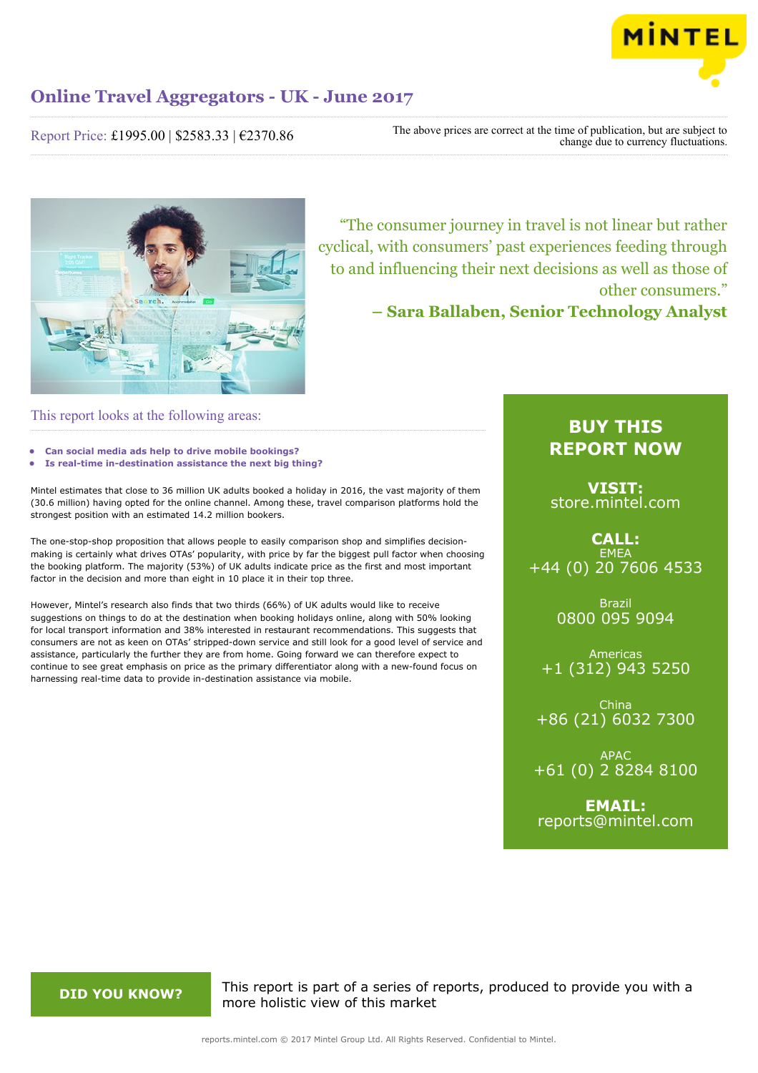

Report Price: £1995.00 | \$2583.33 | €2370.86

The above prices are correct at the time of publication, but are subject to change due to currency fluctuations.



"The consumer journey in travel is not linear but rather cyclical, with consumers' past experiences feeding through to and influencing their next decisions as well as those of other consumers."

**– Sara Ballaben, Senior Technology Analyst**

# This report looks at the following areas:

- **• Can social media ads help to drive mobile bookings?**
- **• Is real-time in-destination assistance the next big thing?**

Mintel estimates that close to 36 million UK adults booked a holiday in 2016, the vast majority of them (30.6 million) having opted for the online channel. Among these, travel comparison platforms hold the strongest position with an estimated 14.2 million bookers.

The one-stop-shop proposition that allows people to easily comparison shop and simplifies decisionmaking is certainly what drives OTAs' popularity, with price by far the biggest pull factor when choosing the booking platform. The majority (53%) of UK adults indicate price as the first and most important factor in the decision and more than eight in 10 place it in their top three.

However, Mintel's research also finds that two thirds (66%) of UK adults would like to receive suggestions on things to do at the destination when booking holidays online, along with 50% looking for local transport information and 38% interested in restaurant recommendations. This suggests that consumers are not as keen on OTAs' stripped-down service and still look for a good level of service and assistance, particularly the further they are from home. Going forward we can therefore expect to continue to see great emphasis on price as the primary differentiator along with a new-found focus on harnessing real-time data to provide in-destination assistance via mobile.

# **BUY THIS REPORT NOW**

**VISIT:** [store.mintel.com](http://reports.mintel.com//display/store/793281/)

**CALL: EMEA** +44 (0) 20 7606 4533

> Brazil 0800 095 9094

Americas +1 (312) 943 5250

China +86 (21) 6032 7300

APAC +61 (0) 2 8284 8100

**EMAIL:** [reports@mintel.com](mailto:reports@mintel.com)

**DID YOU KNOW?** This report is part of a series of reports, produced to provide you with a more holistic view of this market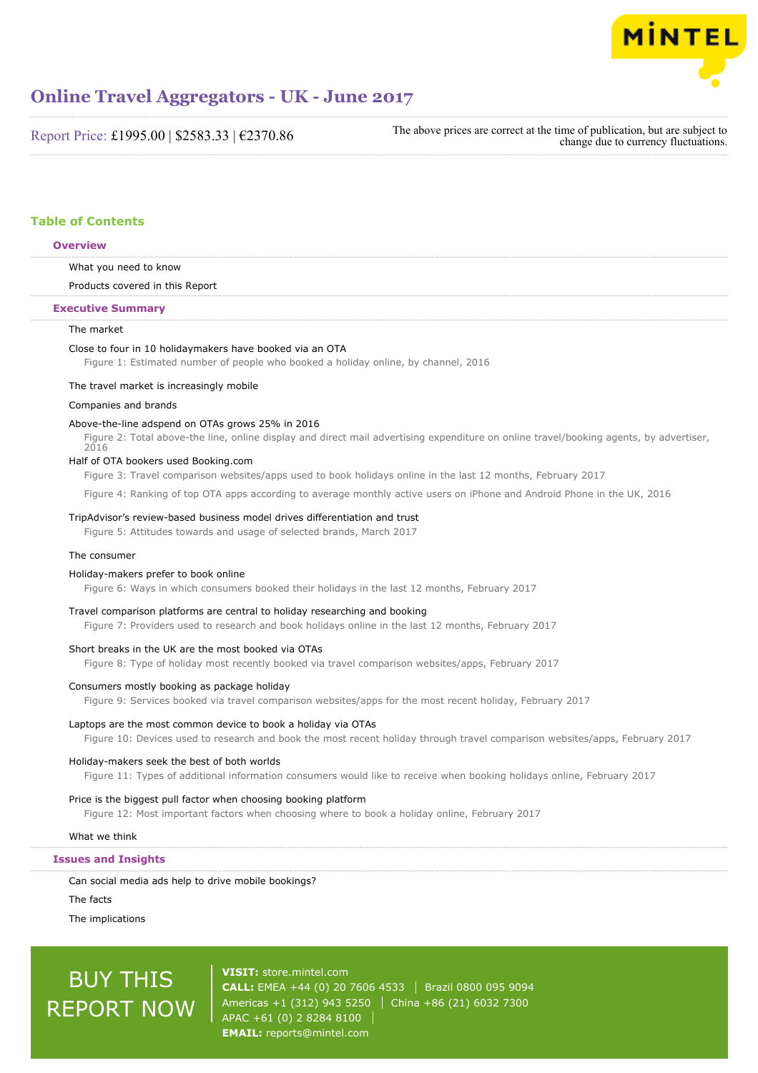

Report Price: £1995.00 | \$2583.33 | €2370.86

The above prices are correct at the time of publication, but are subject to change due to currency fluctuations.

# **Table of Contents**

# **Overview**

What you need to know

Products covered in this Report

# **Executive Summary**

# The market

#### Close to four in 10 holidaymakers have booked via an OTA

Figure 1: Estimated number of people who booked a holiday online, by channel, 2016

#### The travel market is increasingly mobile

# Companies and brands

# Above-the-line adspend on OTAs grows 25% in 2016

Figure 2: Total above-the line, online display and direct mail advertising expenditure on online travel/booking agents, by advertiser, 2016

# Half of OTA bookers used Booking.com

Figure 3: Travel comparison websites/apps used to book holidays online in the last 12 months, February 2017

Figure 4: Ranking of top OTA apps according to average monthly active users on iPhone and Android Phone in the UK, 2016

# TripAdvisor's review-based business model drives differentiation and trust

Figure 5: Attitudes towards and usage of selected brands, March 2017

# The consumer

#### Holiday-makers prefer to book online

Figure 6: Ways in which consumers booked their holidays in the last 12 months, February 2017

# Travel comparison platforms are central to holiday researching and booking

Figure 7: Providers used to research and book holidays online in the last 12 months, February 2017

#### Short breaks in the UK are the most booked via OTAs

Figure 8: Type of holiday most recently booked via travel comparison websites/apps, February 2017

# Consumers mostly booking as package holiday

Figure 9: Services booked via travel comparison websites/apps for the most recent holiday, February 2017

# Laptops are the most common device to book a holiday via OTAs

Figure 10: Devices used to research and book the most recent holiday through travel comparison websites/apps, February 2017

# Holiday-makers seek the best of both worlds

Figure 11: Types of additional information consumers would like to receive when booking holidays online, February 2017

# Price is the biggest pull factor when choosing booking platform

Figure 12: Most important factors when choosing where to book a holiday online, February 2017

What we think

# **Issues and Insights**

Can social media ads help to drive mobile bookings?

The facts

The implications

# BUY THIS REPORT NOW

**VISIT:** [store.mintel.com](http://reports.mintel.com//display/store/793281/) **CALL:** EMEA +44 (0) 20 7606 4533 Brazil 0800 095 9094 Americas +1 (312) 943 5250 | China +86 (21) 6032 7300 APAC +61 (0) 2 8284 8100 **EMAIL:** [reports@mintel.com](mailto:reports@mintel.com)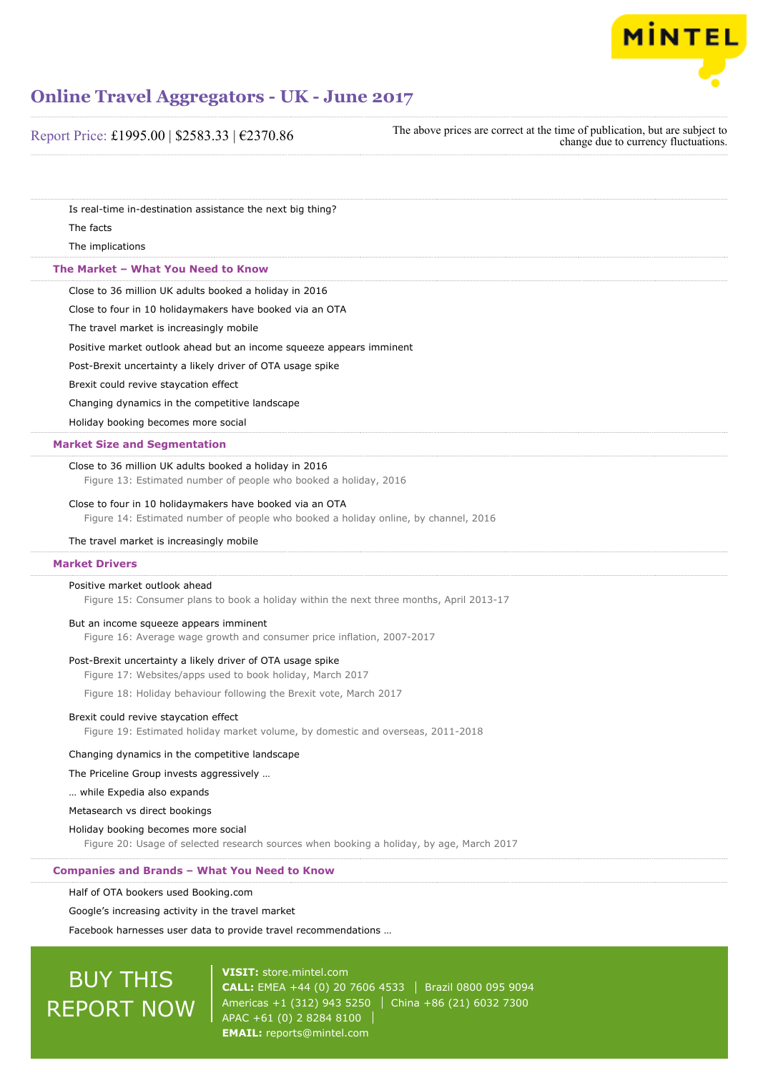

| Report Price: £1995.00   \$2583.33   €2370.86                                                                                                   | The above prices are correct at the time of publication, but are subject to<br>change due to currency fluctuations. |
|-------------------------------------------------------------------------------------------------------------------------------------------------|---------------------------------------------------------------------------------------------------------------------|
|                                                                                                                                                 |                                                                                                                     |
| Is real-time in-destination assistance the next big thing?                                                                                      |                                                                                                                     |
| The facts                                                                                                                                       |                                                                                                                     |
| The implications                                                                                                                                |                                                                                                                     |
| The Market - What You Need to Know                                                                                                              |                                                                                                                     |
| Close to 36 million UK adults booked a holiday in 2016                                                                                          |                                                                                                                     |
| Close to four in 10 holidaymakers have booked via an OTA                                                                                        |                                                                                                                     |
| The travel market is increasingly mobile                                                                                                        |                                                                                                                     |
| Positive market outlook ahead but an income squeeze appears imminent                                                                            |                                                                                                                     |
| Post-Brexit uncertainty a likely driver of OTA usage spike                                                                                      |                                                                                                                     |
| Brexit could revive staycation effect                                                                                                           |                                                                                                                     |
| Changing dynamics in the competitive landscape                                                                                                  |                                                                                                                     |
| Holiday booking becomes more social                                                                                                             |                                                                                                                     |
| <b>Market Size and Segmentation</b>                                                                                                             |                                                                                                                     |
| Close to 36 million UK adults booked a holiday in 2016<br>Figure 13: Estimated number of people who booked a holiday, 2016                      |                                                                                                                     |
| Close to four in 10 holidaymakers have booked via an OTA<br>Figure 14: Estimated number of people who booked a holiday online, by channel, 2016 |                                                                                                                     |
| The travel market is increasingly mobile                                                                                                        |                                                                                                                     |
| <b>Market Drivers</b>                                                                                                                           |                                                                                                                     |
| Positive market outlook ahead                                                                                                                   |                                                                                                                     |
| Figure 15: Consumer plans to book a holiday within the next three months, April 2013-17                                                         |                                                                                                                     |
| But an income squeeze appears imminent<br>Figure 16: Average wage growth and consumer price inflation, 2007-2017                                |                                                                                                                     |
| Post-Brexit uncertainty a likely driver of OTA usage spike                                                                                      |                                                                                                                     |
| Figure 17: Websites/apps used to book holiday, March 2017                                                                                       |                                                                                                                     |
| Figure 18: Holiday behaviour following the Brexit vote, March 2017                                                                              |                                                                                                                     |
| Brexit could revive staycation effect                                                                                                           |                                                                                                                     |
| Figure 19: Estimated holiday market volume, by domestic and overseas, 2011-2018                                                                 |                                                                                                                     |
| Changing dynamics in the competitive landscape                                                                                                  |                                                                                                                     |
| The Priceline Group invests aggressively                                                                                                        |                                                                                                                     |
| while Expedia also expands                                                                                                                      |                                                                                                                     |
| Metasearch vs direct bookings                                                                                                                   |                                                                                                                     |
| Holiday booking becomes more social                                                                                                             |                                                                                                                     |
| Figure 20: Usage of selected research sources when booking a holiday, by age, March 2017                                                        |                                                                                                                     |
| <b>Companies and Brands - What You Need to Know</b>                                                                                             |                                                                                                                     |
| Half of OTA bookers used Booking.com                                                                                                            |                                                                                                                     |
| Google's increasing activity in the travel market                                                                                               |                                                                                                                     |
|                                                                                                                                                 |                                                                                                                     |

# BUY THIS REPORT NOW

**VISIT:** [store.mintel.com](http://reports.mintel.com//display/store/793281/) **CALL:** EMEA +44 (0) 20 7606 4533 | Brazil 0800 095 9094 Americas +1 (312) 943 5250 China +86 (21) 6032 7300 APAC +61 (0) 2 8284 8100 **EMAIL:** [reports@mintel.com](mailto:reports@mintel.com)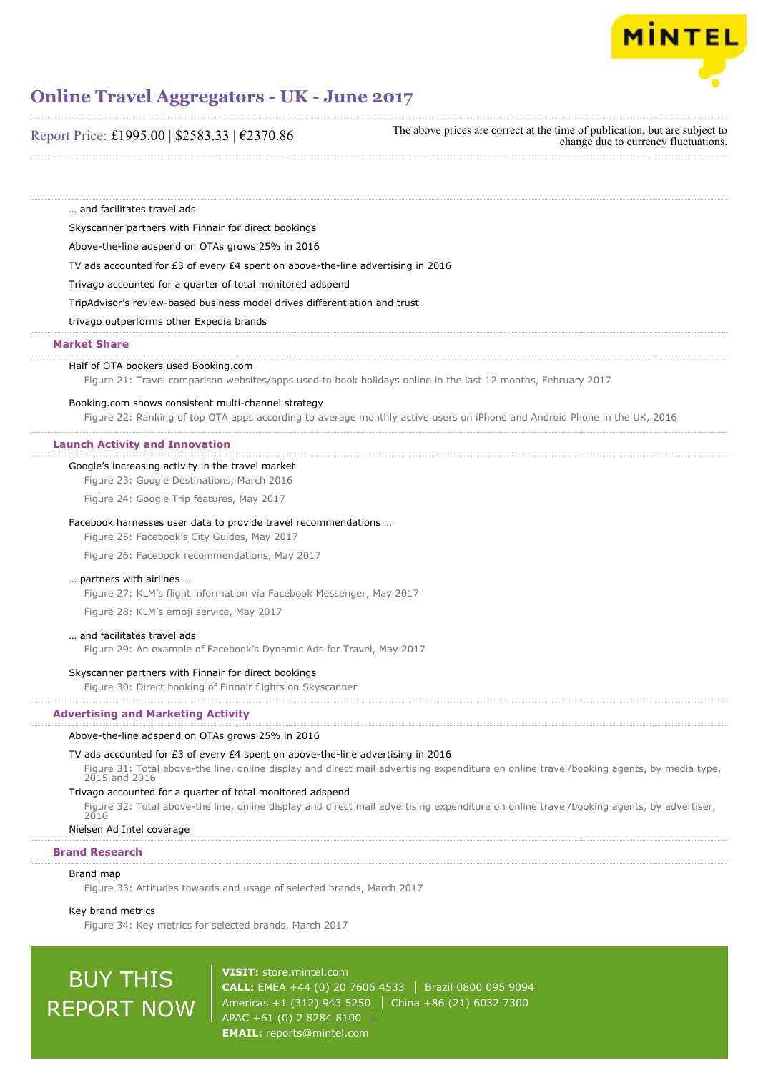

Report Price: £1995.00 | \$2583.33 | €2370.86

The above prices are correct at the time of publication, but are subject to change due to currency fluctuations.

… and facilitates travel ads

Skyscanner partners with Finnair for direct bookings

Above-the-line adspend on OTAs grows 25% in 2016

TV ads accounted for £3 of every £4 spent on above-the-line advertising in 2016

Trivago accounted for a quarter of total monitored adspend

TripAdvisor's review-based business model drives differentiation and trust

trivago outperforms other Expedia brands

# **Market Share**

### Half of OTA bookers used Booking.com

Figure 21: Travel comparison websites/apps used to book holidays online in the last 12 months, February 2017

# Booking.com shows consistent multi-channel strategy

Figure 22: Ranking of top OTA apps according to average monthly active users on iPhone and Android Phone in the UK, 2016

# **Launch Activity and Innovation**

# Google's increasing activity in the travel market

Figure 23: Google Destinations, March 2016

Figure 24: Google Trip features, May 2017

# Facebook harnesses user data to provide travel recommendations …

Figure 25: Facebook's City Guides, May 2017

Figure 26: Facebook recommendations, May 2017

# … partners with airlines …

Figure 27: KLM's flight information via Facebook Messenger, May 2017

Figure 28: KLM's emoji service, May 2017

# … and facilitates travel ads

Figure 29: An example of Facebook's Dynamic Ads for Travel, May 2017

# Skyscanner partners with Finnair for direct bookings

Figure 30: Direct booking of Finnair flights on Skyscanner

# **Advertising and Marketing Activity**

# Above-the-line adspend on OTAs grows 25% in 2016

# TV ads accounted for £3 of every £4 spent on above-the-line advertising in 2016

Figure 31: Total above-the line, online display and direct mail advertising expenditure on online travel/booking agents, by media type, 2015 and 2016

# Trivago accounted for a quarter of total monitored adspend

Figure 32: Total above-the line, online display and direct mail advertising expenditure on online travel/booking agents, by advertiser, 2016

# Nielsen Ad Intel coverage

# **Brand Research**

# Brand map

Figure 33: Attitudes towards and usage of selected brands, March 2017

# Key brand metrics

Figure 34: Key metrics for selected brands, March 2017

# BUY THIS REPORT NOW

**VISIT:** [store.mintel.com](http://reports.mintel.com//display/store/793281/) **CALL:** EMEA +44 (0) 20 7606 4533 Brazil 0800 095 9094 Americas +1 (312) 943 5250 | China +86 (21) 6032 7300 APAC +61 (0) 2 8284 8100 **EMAIL:** [reports@mintel.com](mailto:reports@mintel.com)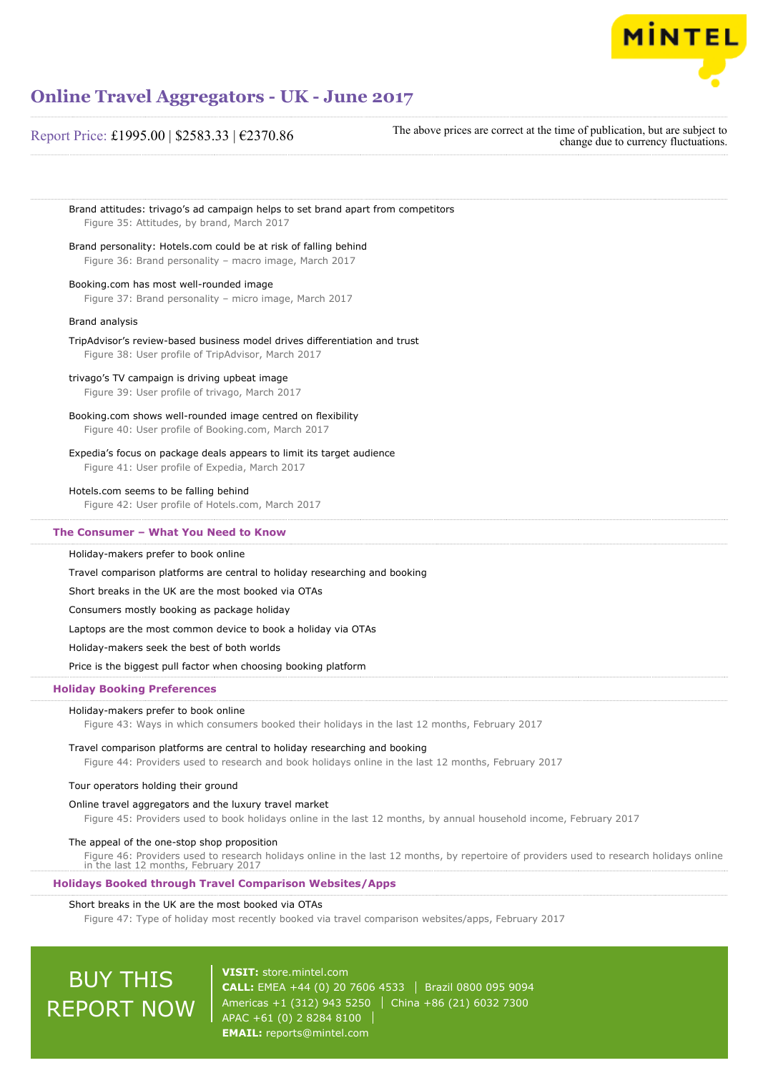

# Report Price: £1995.00 | \$2583.33 | €2370.86

The above prices are correct at the time of publication, but are subject to change due to currency fluctuations.

Brand attitudes: trivago's ad campaign helps to set brand apart from competitors Figure 35: Attitudes, by brand, March 2017 Brand personality: Hotels.com could be at risk of falling behind Figure 36: Brand personality – macro image, March 2017

Booking.com has most well-rounded image Figure 37: Brand personality – micro image, March 2017

# Brand analysis

TripAdvisor's review-based business model drives differentiation and trust Figure 38: User profile of TripAdvisor, March 2017

# trivago's TV campaign is driving upbeat image

Figure 39: User profile of trivago, March 2017

Booking.com shows well-rounded image centred on flexibility

Figure 40: User profile of Booking.com, March 2017

# Expedia's focus on package deals appears to limit its target audience

Figure 41: User profile of Expedia, March 2017

# Hotels.com seems to be falling behind

Figure 42: User profile of Hotels.com, March 2017

# **The Consumer – What You Need to Know**

# Holiday-makers prefer to book online

Travel comparison platforms are central to holiday researching and booking

Short breaks in the UK are the most booked via OTAs

Consumers mostly booking as package holiday

Laptops are the most common device to book a holiday via OTAs

Holiday-makers seek the best of both worlds

Price is the biggest pull factor when choosing booking platform

# **Holiday Booking Preferences**

# Holiday-makers prefer to book online

Figure 43: Ways in which consumers booked their holidays in the last 12 months, February 2017

# Travel comparison platforms are central to holiday researching and booking

Figure 44: Providers used to research and book holidays online in the last 12 months, February 2017

# Tour operators holding their ground

### Online travel aggregators and the luxury travel market

Figure 45: Providers used to book holidays online in the last 12 months, by annual household income, February 2017

# The appeal of the one-stop shop proposition

Figure 46: Providers used to research holidays online in the last 12 months, by repertoire of providers used to research holidays online in the last 12 months, February 2017

# **Holidays Booked through Travel Comparison Websites/Apps**

# Short breaks in the UK are the most booked via OTAs

Figure 47: Type of holiday most recently booked via travel comparison websites/apps, February 2017

# BUY THIS REPORT NOW

**VISIT:** [store.mintel.com](http://reports.mintel.com//display/store/793281/) **CALL:** EMEA +44 (0) 20 7606 4533 Brazil 0800 095 9094 Americas +1 (312) 943 5250 | China +86 (21) 6032 7300 APAC +61 (0) 2 8284 8100 **EMAIL:** [reports@mintel.com](mailto:reports@mintel.com)